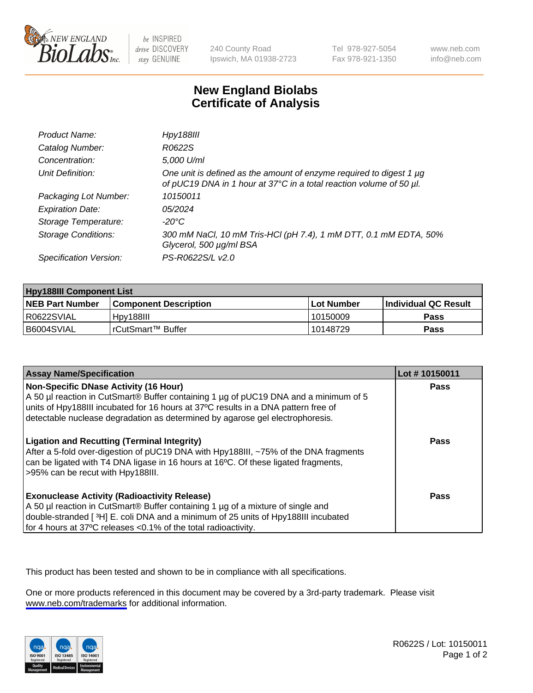

be INSPIRED drive DISCOVERY stay GENUINE

240 County Road Ipswich, MA 01938-2723 Tel 978-927-5054 Fax 978-921-1350

www.neb.com info@neb.com

## **New England Biolabs Certificate of Analysis**

| Product Name:              | <b>Hpy188III</b>                                                                                                                           |
|----------------------------|--------------------------------------------------------------------------------------------------------------------------------------------|
| Catalog Number:            | R0622S                                                                                                                                     |
| Concentration:             | 5,000 U/ml                                                                                                                                 |
| Unit Definition:           | One unit is defined as the amount of enzyme required to digest 1 µg<br>of pUC19 DNA in 1 hour at 37°C in a total reaction volume of 50 µl. |
| Packaging Lot Number:      | 10150011                                                                                                                                   |
| <b>Expiration Date:</b>    | 05/2024                                                                                                                                    |
| Storage Temperature:       | -20°C                                                                                                                                      |
| <b>Storage Conditions:</b> | 300 mM NaCl, 10 mM Tris-HCl (pH 7.4), 1 mM DTT, 0.1 mM EDTA, 50%<br>Glycerol, 500 µg/ml BSA                                                |
| Specification Version:     | PS-R0622S/L v2.0                                                                                                                           |

| <b>Hpy188III Component List</b> |                         |              |                             |  |
|---------------------------------|-------------------------|--------------|-----------------------------|--|
| <b>NEB Part Number</b>          | l Component Description | l Lot Number | <b>Individual QC Result</b> |  |
| I R0622SVIAL                    | Hpy188III               | 10150009     | Pass                        |  |
| B6004SVIAL                      | l rCutSmart™ Buffer_    | 10148729     | Pass                        |  |

| <b>Assay Name/Specification</b>                                                                                                                                                                                                                                                                             | Lot #10150011 |
|-------------------------------------------------------------------------------------------------------------------------------------------------------------------------------------------------------------------------------------------------------------------------------------------------------------|---------------|
| <b>Non-Specific DNase Activity (16 Hour)</b><br>A 50 µl reaction in CutSmart® Buffer containing 1 µg of pUC19 DNA and a minimum of 5<br>units of Hpy188III incubated for 16 hours at 37°C results in a DNA pattern free of<br>detectable nuclease degradation as determined by agarose gel electrophoresis. | Pass          |
| <b>Ligation and Recutting (Terminal Integrity)</b><br>After a 5-fold over-digestion of pUC19 DNA with Hpy188III, ~75% of the DNA fragments<br>can be ligated with T4 DNA ligase in 16 hours at 16°C. Of these ligated fragments,<br>>95% can be recut with Hpy188III.                                       | Pass          |
| <b>Exonuclease Activity (Radioactivity Release)</b><br>A 50 µl reaction in CutSmart® Buffer containing 1 µg of a mixture of single and<br>double-stranded [3H] E. coli DNA and a minimum of 25 units of Hpy188III incubated<br>for 4 hours at 37°C releases <0.1% of the total radioactivity.               | Pass          |

This product has been tested and shown to be in compliance with all specifications.

One or more products referenced in this document may be covered by a 3rd-party trademark. Please visit <www.neb.com/trademarks>for additional information.